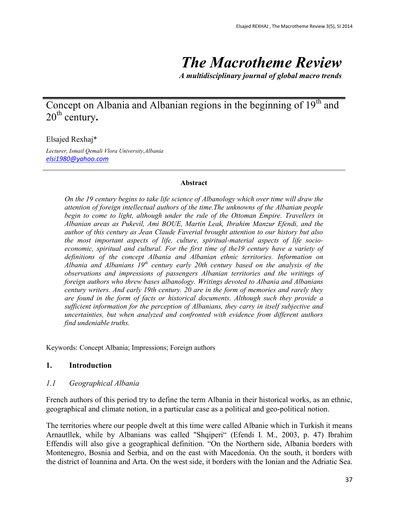# *The Macrotheme Review*

*A multidisciplinary journal of global macro trends*

# Concept on Albania and Albanian regions in the beginning of 19<sup>th</sup> and 20th century**.**

## Elsajed Rexhaj\*

*Lecturer, Ismail Qemali Vlora University,Albania [elsi1980@yahoo.com](mailto:elsi1980@yahoo.com)*

#### **Abstract**

*On the 19 century begins to take life science of Albanology which over time will draw the attention of foreign intellectual authors of the time.The unknowns of the Albanian people begin to come to light, although under the rule of the Ottoman Empire. Travellers in Albanian areas as Pukevil, Ami BOUE, Martin Leak, Ibrahim Manzur Efendi, and the author of this century as Jean Claude Faverial brought attention to our history but also the most important aspects of life, culture, spiritual-material aspects of life socioeconomic, spiritual and cultural. For the first time of the19 century have a variety of definitions of the concept Albania and Albanian ethnic territories. Information on Albania and Albanians 19th century early 20th century based on the analysis of the observations and impressions of passengers Albanian territories and the writings of foreign authors who threw bases albanology. Writings devoted to Albania and Albanians century writers. And early 19th century. 20 are in the form of memories and rarely they are found in the form of facts or historical documents. Although such they provide a sufficient information for the perception of Albanians, they carry in itself subjective and uncertainties, but when analyzed and confronted with evidence from different authors find undeniable truths.*

Keywords: Concept Albania; Impressions; Foreign authors

## **1. Introduction**

#### *1.1 Geographical Albania*

French authors of this period try to define the term Albania in their historical works, as an ethnic, geographical and climate notion, in a particular case as a political and geo-political notion.

The territories where our people dwelt at this time were called Albanie which in Turkish it means Arnautllek, while by Albanians was called "Shqiperi" (Efendi I. M., 2003, p. 47) Ibrahim Effendis will also give a geographical definition. "On the Northern side, Albania borders with Montenegro, Bosnia and Serbia, and on the east with Macedonia. On the south, it borders with the district of Ioannina and Arta. On the west side, it borders with the Ionian and the Adriatic Sea.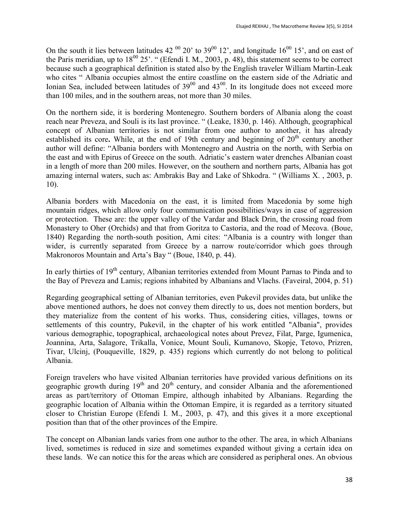On the south it lies between latitudes 42  $^{00}$  20' to 39 $^{00}$  12', and longitude 16 $^{00}$  15', and on east of the Paris meridian, up to  $18^{00}$  25'. " (Efendi I. M., 2003, p. 48), this statement seems to be correct because such a geographical definition is stated also by the English traveler William Martin-Leak who cites " Albania occupies almost the entire coastline on the eastern side of the Adriatic and Ionian Sea, included between latitudes of  $39^{00}$  and  $43^{00}$ . In its longitude does not exceed more than 100 miles, and in the southern areas, not more than 30 miles.

On the northern side, it is bordering Montenegro. Southern borders of Albania along the coast reach near Preveza, and Souli is its last province. " (Leake, 1830, p. 146). Although, geographical concept of Albanian territories is not similar from one author to another, it has already established its core. While, at the end of 19th century and beginning of 20<sup>th</sup> century another author will define: "Albania borders with Montenegro and Austria on the north, with Serbia on the east and with Epirus of Greece on the south. Adriatic's eastern water drenches Albanian coast in a length of more than 200 miles. However, on the southern and northern parts, Albania has got amazing internal waters, such as: Ambrakis Bay and Lake of Shkodra. " (Williams X. , 2003, p. 10).

Albania borders with Macedonia on the east, it is limited from Macedonia by some high mountain ridges, which allow only four communication possibilities/ways in case of aggression or protection. These are: the upper valley of the Vardar and Black Drin, the crossing road from Monastery to Oher (Orchids) and that from Goritza to Castoria, and the road of Mecova. (Boue, 1840) Regarding the north-south position, Ami cites: "Albania is a country with longer than wider, is currently separated from Greece by a narrow route/corridor which goes through Makronoros Mountain and Arta's Bay " (Boue, 1840, p. 44).

In early thirties of 19<sup>th</sup> century, Albanian territories extended from Mount Parnas to Pinda and to the Bay of Preveza and Lamis; regions inhabited by Albanians and Vlachs. (Faveiral, 2004, p. 51)

Regarding geographical setting of Albanian territories, even Pukevil provides data, but unlike the above mentioned authors, he does not convey them directly to us, does not mention borders, but they materialize from the content of his works. Thus, considering cities, villages, towns or settlements of this country, Pukevil, in the chapter of his work entitled "Albania", provides various demographic, topographical, archaeological notes about Prevez, Filat, Parge, Igumenica, Joannina, Arta, Salagore, Trikalla, Vonice, Mount Souli, Kumanovo, Skopje, Tetovo, Prizren, Tivar, Ulcinj, (Pouqueville, 1829, p. 435) regions which currently do not belong to political Albania.

Foreign travelers who have visited Albanian territories have provided various definitions on its geographic growth during  $19<sup>th</sup>$  and  $20<sup>th</sup>$  century, and consider Albania and the aforementioned areas as part/territory of Ottoman Empire, although inhabited by Albanians. Regarding the geographic location of Albania within the Ottoman Empire, it is regarded as a territory situated closer to Christian Europe (Efendi I. M., 2003, p. 47), and this gives it a more exceptional position than that of the other provinces of the Empire.

The concept on Albanian lands varies from one author to the other. The area, in which Albanians lived, sometimes is reduced in size and sometimes expanded without giving a certain idea on these lands. We can notice this for the areas which are considered as peripheral ones. An obvious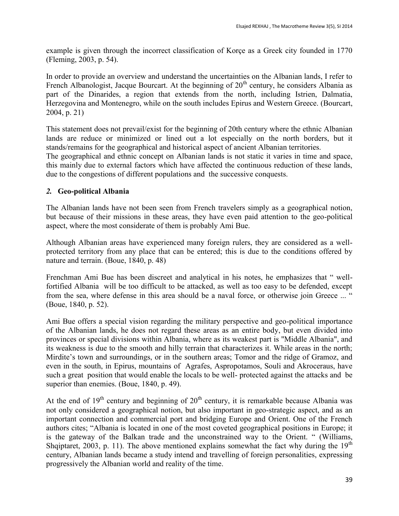example is given through the incorrect classification of Korçe as a Greek city founded in 1770 (Fleming, 2003, p. 54).

In order to provide an overview and understand the uncertainties on the Albanian lands, I refer to French Albanologist, Jacque Bourcart. At the beginning of  $20<sup>th</sup>$  century, he considers Albania as part of the Dinarides, a region that extends from the north, including Istrien, Dalmatia, Herzegovina and Montenegro, while on the south includes Epirus and Western Greece. (Bourcart, 2004, p. 21)

This statement does not prevail/exist for the beginning of 20th century where the ethnic Albanian lands are reduce or minimized or lined out a lot especially on the north borders, but it stands/remains for the geographical and historical aspect of ancient Albanian territories.

The geographical and ethnic concept on Albanian lands is not static it varies in time and space, this mainly due to external factors which have affected the continuous reduction of these lands, due to the congestions of different populations and the successive conquests.

# *2.* **Geo-political Albania**

The Albanian lands have not been seen from French travelers simply as a geographical notion, but because of their missions in these areas, they have even paid attention to the geo-political aspect, where the most considerate of them is probably Ami Bue.

Although Albanian areas have experienced many foreign rulers, they are considered as a wellprotected territory from any place that can be entered; this is due to the conditions offered by nature and terrain. (Boue, 1840, p. 48)

Frenchman Ami Bue has been discreet and analytical in his notes, he emphasizes that " wellfortified Albania will be too difficult to be attacked, as well as too easy to be defended, except from the sea, where defense in this area should be a naval force, or otherwise join Greece ... " (Boue, 1840, p. 52).

Ami Bue offers a special vision regarding the military perspective and geo-political importance of the Albanian lands, he does not regard these areas as an entire body, but even divided into provinces or special divisions within Albania, where as its weakest part is "Middle Albania", and its weakness is due to the smooth and hilly terrain that characterizes it. While areas in the north; Mirdite's town and surroundings, or in the southern areas; Tomor and the ridge of Gramoz, and even in the south, in Epirus, mountains of Agrafes, Aspropotamos, Souli and Akroceraus, have such a great position that would enable the locals to be well- protected against the attacks and be superior than enemies. (Boue, 1840, p. 49).

At the end of  $19<sup>th</sup>$  century and beginning of  $20<sup>th</sup>$  century, it is remarkable because Albania was not only considered a geographical notion, but also important in geo-strategic aspect, and as an important connection and commercial port and bridging Europe and Orient. One of the French authors cites; "Albania is located in one of the most coveted geographical positions in Europe; it is the gateway of the Balkan trade and the unconstrained way to the Orient. " (Williams, Shqiptaret, 2003, p. 11). The above mentioned explains somewhat the fact why during the  $19<sup>th</sup>$ century, Albanian lands became a study intend and travelling of foreign personalities, expressing progressively the Albanian world and reality of the time.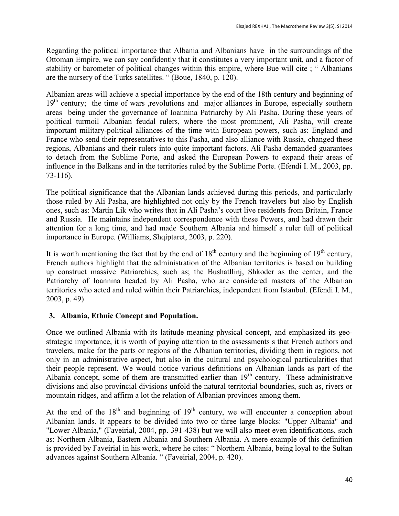Regarding the political importance that Albania and Albanians have in the surroundings of the Ottoman Empire, we can say confidently that it constitutes a very important unit, and a factor of stability or barometer of political changes within this empire, where Bue will cite ; " Albanians are the nursery of the Turks satellites. " (Boue, 1840, p. 120).

Albanian areas will achieve a special importance by the end of the 18th century and beginning of 19<sup>th</sup> century; the time of wars ,revolutions and major alliances in Europe, especially southern areas being under the governance of Ioannina Patriarchy by Ali Pasha. During these years of political turmoil Albanian feudal rulers, where the most prominent, Ali Pasha, will create important military-political alliances of the time with European powers, such as: England and France who send their representatives to this Pasha, and also alliance with Russia, changed these regions, Albanians and their rulers into quite important factors. Ali Pasha demanded guarantees to detach from the Sublime Porte, and asked the European Powers to expand their areas of influence in the Balkans and in the territories ruled by the Sublime Porte. (Efendi I. M., 2003, pp. 73-116).

The political significance that the Albanian lands achieved during this periods, and particularly those ruled by Ali Pasha, are highlighted not only by the French travelers but also by English ones, such as: Martin Lik who writes that in Ali Pasha's court live residents from Britain, France and Russia. He maintains independent correspondence with these Powers, and had drawn their attention for a long time, and had made Southern Albania and himself a ruler full of political importance in Europe. (Williams, Shqiptaret, 2003, p. 220).

It is worth mentioning the fact that by the end of  $18<sup>th</sup>$  century and the beginning of  $19<sup>th</sup>$  century, French authors highlight that the administration of the Albanian territories is based on building up construct massive Patriarchies, such as; the Bushatllinj, Shkoder as the center, and the Patriarchy of Ioannina headed by Ali Pasha, who are considered masters of the Albanian territories who acted and ruled within their Patriarchies, independent from Istanbul. (Efendi I. M., 2003, p. 49)

# **3. Albania, Ethnic Concept and Population.**

Once we outlined Albania with its latitude meaning physical concept, and emphasized its geostrategic importance, it is worth of paying attention to the assessments s that French authors and travelers, make for the parts or regions of the Albanian territories, dividing them in regions, not only in an administrative aspect, but also in the cultural and psychological particularities that their people represent. We would notice various definitions on Albanian lands as part of the Albania concept, some of them are transmitted earlier than  $19<sup>th</sup>$  century. These administrative divisions and also provincial divisions unfold the natural territorial boundaries, such as, rivers or mountain ridges, and affirm a lot the relation of Albanian provinces among them.

At the end of the  $18<sup>th</sup>$  and beginning of  $19<sup>th</sup>$  century, we will encounter a conception about Albanian lands. It appears to be divided into two or three large blocks: "Upper Albania" and "Lower Albania," (Faveirial, 2004, pp. 391-438) but we will also meet even identifications, such as: Northern Albania, Eastern Albania and Southern Albania. A mere example of this definition is provided by Faveirial in his work, where he cites: " Northern Albania, being loyal to the Sultan advances against Southern Albania. " (Faveirial, 2004, p. 420).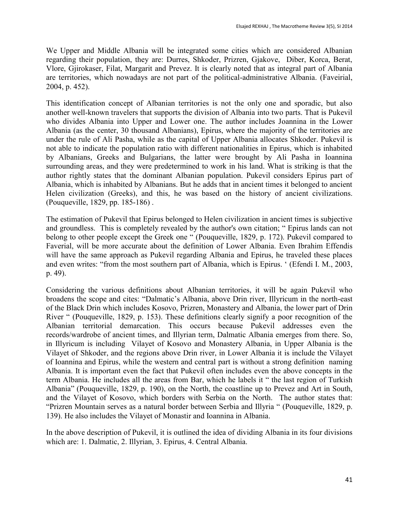We Upper and Middle Albania will be integrated some cities which are considered Albanian regarding their population, they are: Durres, Shkoder, Prizren, Gjakove, Diber, Korca, Berat, Vlore, Gjirokaser, Filat, Margarit and Prevez. It is clearly noted that as integral part of Albania are territories, which nowadays are not part of the political-administrative Albania. (Faveirial, 2004, p. 452).

This identification concept of Albanian territories is not the only one and sporadic, but also another well-known travelers that supports the division of Albania into two parts. That is Pukevil who divides Albania into Upper and Lower one. The author includes Joannina in the Lower Albania (as the center, 30 thousand Albanians), Epirus, where the majority of the territories are under the rule of Ali Pasha, while as the capital of Upper Albania allocates Shkoder. Pukevil is not able to indicate the population ratio with different nationalities in Epirus, which is inhabited by Albanians, Greeks and Bulgarians, the latter were brought by Ali Pasha in Ioannina surrounding areas, and they were predetermined to work in his land. What is striking is that the author rightly states that the dominant Albanian population. Pukevil considers Epirus part of Albania, which is inhabited by Albanians. But he adds that in ancient times it belonged to ancient Helen civilization (Greeks), and this, he was based on the history of ancient civilizations. (Pouqueville, 1829, pp. 185-186) .

The estimation of Pukevil that Epirus belonged to Helen civilization in ancient times is subjective and groundless. This is completely revealed by the author's own citation; " Epirus lands can not belong to other people except the Greek one " (Pouqueville, 1829, p. 172). Pukevil compared to Faverial, will be more accurate about the definition of Lower Albania. Even Ibrahim Effendis will have the same approach as Pukevil regarding Albania and Epirus, he traveled these places and even writes: "from the most southern part of Albania, which is Epirus. ' (Efendi I. M., 2003, p. 49).

Considering the various definitions about Albanian territories, it will be again Pukevil who broadens the scope and cites: "Dalmatic's Albania, above Drin river, Illyricum in the north-east of the Black Drin which includes Kosovo, Prizren, Monastery and Albania, the lower part of Drin River " (Pouqueville, 1829, p. 153). These definitions clearly signify a poor recognition of the Albanian territorial demarcation. This occurs because Pukevil addresses even the records/wardrobe of ancient times, and Illyrian term, Dalmatic Albania emerges from there. So, in Illyricum is including Vilayet of Kosovo and Monastery Albania, in Upper Albania is the Vilayet of Shkoder, and the regions above Drin river, in Lower Albania it is include the Vilayet of Ioannina and Epirus, while the western and central part is without a strong definition naming Albania. It is important even the fact that Pukevil often includes even the above concepts in the term Albania. He includes all the areas from Bar, which he labels it " the last region of Turkish Albania" (Pouqueville, 1829, p. 190), on the North, the coastline up to Prevez and Art in South, and the Vilayet of Kosovo, which borders with Serbia on the North. The author states that: "Prizren Mountain serves as a natural border between Serbia and Illyria " (Pouqueville, 1829, p. 139). He also includes the Vilayet of Monastir and Ioannina in Albania.

In the above description of Pukevil, it is outlined the idea of dividing Albania in its four divisions which are: 1. Dalmatic, 2. Illyrian, 3. Epirus, 4. Central Albania.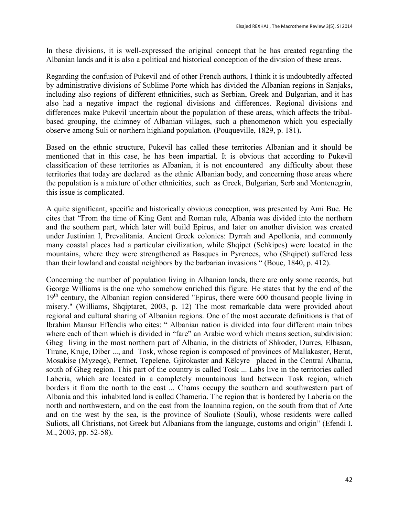In these divisions, it is well-expressed the original concept that he has created regarding the Albanian lands and it is also a political and historical conception of the division of these areas.

Regarding the confusion of Pukevil and of other French authors, I think it is undoubtedly affected by administrative divisions of Sublime Porte which has divided the Albanian regions in Sanjaks**,** including also regions of different ethnicities, such as Serbian, Greek and Bulgarian, and it has also had a negative impact the regional divisions and differences. Regional divisions and differences make Pukevil uncertain about the population of these areas, which affects the tribalbased grouping, the chimney of Albanian villages, such a phenomenon which you especially observe among Suli or northern highland population. (Pouqueville, 1829, p. 181)**.**

Based on the ethnic structure, Pukevil has called these territories Albanian and it should be mentioned that in this case, he has been impartial. It is obvious that according to Pukevil classification of these territories as Albanian, it is not encountered any difficulty about these territories that today are declared as the ethnic Albanian body, and concerning those areas where the population is a mixture of other ethnicities, such as Greek, Bulgarian, Serb and Montenegrin, this issue is complicated.

A quite significant, specific and historically obvious conception, was presented by Ami Bue. He cites that "From the time of King Gent and Roman rule, Albania was divided into the northern and the southern part, which later will build Epirus, and later on another division was created under Justinian I, Prevalitania. Ancient Greek colonies: Dyrrah and Apollonia, and commonly many coastal places had a particular civilization, while Shqipet (Schkipes) were located in the mountains, where they were strengthened as Basques in Pyrenees, who (Shqipet) suffered less than their lowland and coastal neighbors by the barbarian invasions " (Boue, 1840, p. 412).

Concerning the number of population living in Albanian lands, there are only some records, but George Williams is the one who somehow enriched this figure. He states that by the end of the  $19<sup>th</sup>$  century, the Albanian region considered "Epirus, there were 600 thousand people living in misery." (Williams, Shqiptaret, 2003, p. 12) The most remarkable data were provided about regional and cultural sharing of Albanian regions. One of the most accurate definitions is that of Ibrahim Mansur Effendis who cites: " Albanian nation is divided into four different main tribes where each of them which is divided in "fare" an Arabic word which means section, subdivision: Gheg living in the most northern part of Albania, in the districts of Shkoder, Durres, Elbasan, Tirane, Kruje, Diber ..., and Tosk, whose region is composed of provinces of Mallakaster, Berat, Mosakise (Myzeqe), Permet, Tepelene, Gjirokaster and Këlcyre –placed in the Central Albania, south of Gheg region. This part of the country is called Tosk ... Labs live in the territories called Laberia, which are located in a completely mountainous land between Tosk region, which borders it from the north to the east ... Chams occupy the southern and southwestern part of Albania and this inhabited land is called Chameria. The region that is bordered by Laberia on the north and northwestern, and on the east from the Ioannina region, on the south from that of Arte and on the west by the sea, is the province of Souliote (Souli), whose residents were called Suliots, all Christians, not Greek but Albanians from the language, customs and origin" (Efendi I. M., 2003, pp. 52-58).